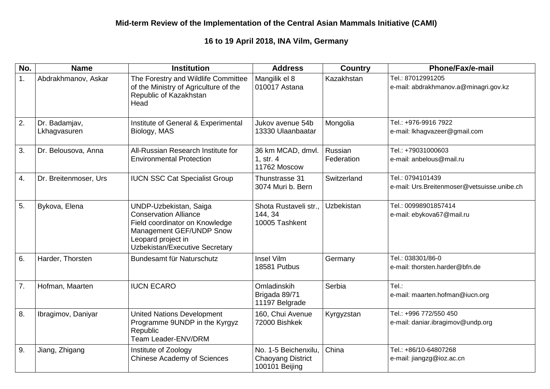## **16 to 19 April 2018, INA Vilm, Germany**

| No. | <b>Name</b>                   | <b>Institution</b>                                                                                                                                                                  | <b>Address</b>                                                     | <b>Country</b>        | Phone/Fax/e-mail                                                |
|-----|-------------------------------|-------------------------------------------------------------------------------------------------------------------------------------------------------------------------------------|--------------------------------------------------------------------|-----------------------|-----------------------------------------------------------------|
| 1.  | Abdrakhmanov, Askar           | The Forestry and Wildlife Committee<br>of the Ministry of Agriculture of the<br>Republic of Kazakhstan<br>Head                                                                      | Mangilik el 8<br>010017 Astana                                     | Kazakhstan            | Tel.: 87012991205<br>e-mail: abdrakhmanov.a@minagri.gov.kz      |
| 2.  | Dr. Badamjav,<br>Lkhagvasuren | Institute of General & Experimental<br>Biology, MAS                                                                                                                                 | Jukov avenue 54b<br>13330 Ulaanbaatar                              | Mongolia              | Tel.: +976-9916 7922<br>e-mail: Ikhagvazeer@gmail.com           |
| 3.  | Dr. Belousova, Anna           | All-Russian Research Institute for<br><b>Environmental Protection</b>                                                                                                               | 36 km MCAD, dmvl.<br>1, str. 4<br>11762 Moscow                     | Russian<br>Federation | Tel.: +79031000603<br>e-mail: anbelous@mail.ru                  |
| 4.  | Dr. Breitenmoser, Urs         | <b>IUCN SSC Cat Specialist Group</b>                                                                                                                                                | Thunstrasse 31<br>3074 Muri b. Bern                                | Switzerland           | Tel.: 0794101439<br>e-mail: Urs.Breitenmoser@vetsuisse.unibe.ch |
| 5.  | Bykova, Elena                 | <b>UNDP-Uzbekistan, Saiga</b><br><b>Conservation Alliance</b><br>Field coordinator on Knowledge<br>Management GEF/UNDP Snow<br>Leopard project in<br>Uzbekistan/Executive Secretary | Shota Rustaveli str.,<br>144, 34<br>10005 Tashkent                 | Uzbekistan            | Tel.: 00998901857414<br>e-mail: ebykova67@mail.ru               |
| 6.  | Harder, Thorsten              | Bundesamt für Naturschutz                                                                                                                                                           | <b>Insel Vilm</b><br>18581 Putbus                                  | Germany               | Tel.: 038301/86-0<br>e-mail: thorsten.harder@bfn.de             |
| 7.  | Hofman, Maarten               | <b>IUCN ECARO</b>                                                                                                                                                                   | Omladinskih<br>Brigada 89/71<br>11197 Belgrade                     | Serbia                | Tel.:<br>e-mail: maarten.hofman@iucn.org                        |
| 8.  | Ibragimov, Daniyar            | <b>United Nations Development</b><br>Programme 9UNDP in the Kyrgyz<br>Republic<br>Team Leader-ENV/DRM                                                                               | 160, Chui Avenue<br>72000 Bishkek                                  | Kyrgyzstan            | Tel.: +996 772/550 450<br>e-mail: daniar.ibragimov@undp.org     |
| 9.  | Jiang, Zhigang                | Institute of Zoology<br><b>Chinese Academy of Sciences</b>                                                                                                                          | No. 1-5 Beichenxilu,<br><b>Chaoyang District</b><br>100101 Beijing | China                 | Tel.: +86/10-64807268<br>e-mail: jiangzg@ioz.ac.cn              |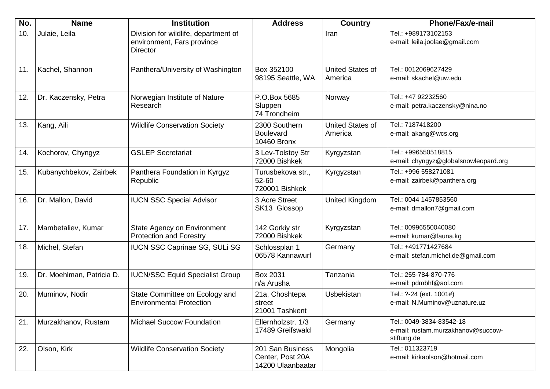| No. | <b>Name</b>               | <b>Institution</b>                                                                    | <b>Address</b>                                            | <b>Country</b>                     | <b>Phone/Fax/e-mail</b>                                                       |
|-----|---------------------------|---------------------------------------------------------------------------------------|-----------------------------------------------------------|------------------------------------|-------------------------------------------------------------------------------|
| 10. | Julaie, Leila             | Division for wildlife, department of<br>environment, Fars province<br><b>Director</b> |                                                           | Iran                               | Tel.: +989173102153<br>e-mail: leila.joolae@gmail.com                         |
| 11. | Kachel, Shannon           | Panthera/University of Washington                                                     | Box 352100<br>98195 Seattle, WA                           | United States of<br>America        | Tel.: 0012069627429<br>e-mail: skachel@uw.edu                                 |
| 12. | Dr. Kaczensky, Petra      | Norwegian Institute of Nature<br>Research                                             | P.O.Box 5685<br>Sluppen<br>74 Trondheim                   | Norway                             | Tel.: +47 92232560<br>e-mail: petra.kaczensky@nina.no                         |
| 13. | Kang, Aili                | <b>Wildlife Conservation Society</b>                                                  | 2300 Southern<br><b>Boulevard</b><br><b>10460 Bronx</b>   | <b>United States of</b><br>America | Tel.: 7187418200<br>e-mail: akang@wcs.org                                     |
| 14. | Kochorov, Chyngyz         | <b>GSLEP Secretariat</b>                                                              | 3 Lev-Tolstoy Str<br>72000 Bishkek                        | Kyrgyzstan                         | Tel.: +996550518815<br>e-mail: chyngyz@globalsnowleopard.org                  |
| 15. | Kubanychbekov, Zairbek    | Panthera Foundation in Kyrgyz<br>Republic                                             | Turusbekova str.,<br>52-60<br>720001 Bishkek              | Kyrgyzstan                         | Tel.: +996 558271081<br>e-mail: zairbek@panthera.org                          |
| 16. | Dr. Mallon, David         | <b>IUCN SSC Special Advisor</b>                                                       | 3 Acre Street<br>SK13 Glossop                             | United Kingdom                     | Tel.: 0044 1457853560<br>e-mail: dmallon7@gmail.com                           |
| 17. | Mambetaliev, Kumar        | State Agency on Environment<br><b>Protection and Forestry</b>                         | 142 Gorkiy str<br>72000 Bishkek                           | Kyrgyzstan                         | Tel.: 00996550040080<br>e-mail: kumar@fauna.kg                                |
| 18. | Michel, Stefan            | <b>IUCN SSC Caprinae SG, SULi SG</b>                                                  | Schlossplan 1<br>06578 Kannawurf                          | Germany                            | Tel.: +491771427684<br>e-mail: stefan.michel.de@gmail.com                     |
| 19. | Dr. Moehlman, Patricia D. | <b>IUCN/SSC Equid Specialist Group</b>                                                | Box 2031<br>n/a Arusha                                    | Tanzania                           | Tel.: 255-784-870-776<br>e-mail: pdmbhf@aol.com                               |
| 20. | Muminov, Nodir            | State Committee on Ecology and<br><b>Environmental Protection</b>                     | 21a, Choshtepa<br>street<br>21001 Tashkent                | <b>Usbekistan</b>                  | Tel.: ?-24 (ext. 1001#)<br>e-mail: N.Muminov@uznature.uz                      |
| 21. | Murzakhanov, Rustam       | <b>Michael Succow Foundation</b>                                                      | Ellernholzstr. 1/3<br>17489 Greifswald                    | Germany                            | Tel.: 0049-3834-83542-18<br>e-mail: rustam.murzakhanov@succow-<br>stiftung.de |
| 22. | Olson, Kirk               | <b>Wildlife Conservation Society</b>                                                  | 201 San Business<br>Center, Post 20A<br>14200 Ulaanbaatar | Mongolia                           | Tel.: 011323719<br>e-mail: kirkaolson@hotmail.com                             |